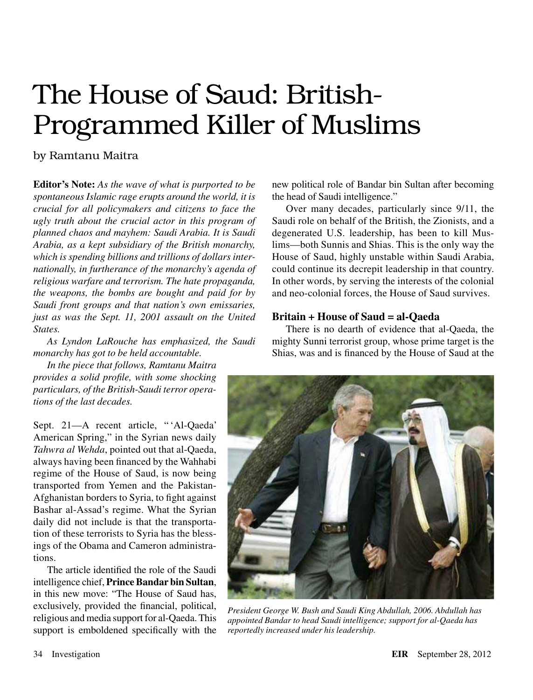# The House of Saud: British-Programmed Killer of Muslims

### by Ramtanu Maitra

**Editor's Note:** *As the wave of what is purported to be spontaneous Islamic rage erupts around the world, it is crucial for all policymakers and citizens to face the ugly truth about the crucial actor in this program of planned chaos and mayhem: Saudi Arabia. It is Saudi Arabia, as a kept subsidiary of the British monarchy, which is spending billions and trillions of dollars internationally, in furtherance of the monarchy's agenda of religious warfare and terrorism. The hate propaganda, the weapons, the bombs are bought and paid for by Saudi front groups and that nation's own emissaries, just as was the Sept. 11, 2001 assault on the United States.*

*As Lyndon LaRouche has emphasized, the Saudi monarchy has got to be held accountable.*

*In the piece that follows, Ramtanu Maitra provides a solid profile, with some shocking particulars, of the British-Saudi terror operations of the last decades.*

Sept. 21—A recent article, " 'Al-Qaeda' American Spring," in the Syrian news daily *Tahwra al Wehda*, pointed out that al-Qaeda, always having been financed by the Wahhabi regime of the House of Saud, is now being transported from Yemen and the Pakistan-Afghanistan borders to Syria, to fight against Bashar al-Assad's regime. What the Syrian daily did not include is that the transportation of these terrorists to Syria has the blessings of the Obama and Cameron administrations.

The article identified the role of the Saudi intelligence chief, **Prince Bandar bin Sultan**, in this new move: "The House of Saud has, exclusively, provided the financial, political, religious and media support for al-Qaeda. This support is emboldened specifically with the

new political role of Bandar bin Sultan after becoming the head of Saudi intelligence."

Over many decades, particularly since 9/11, the Saudi role on behalf of the British, the Zionists, and a degenerated U.S. leadership, has been to kill Muslims—both Sunnis and Shias. This is the only way the House of Saud, highly unstable within Saudi Arabia, could continue its decrepit leadership in that country. In other words, by serving the interests of the colonial and neo-colonial forces, the House of Saud survives.

#### **Britain + House of Saud = al-Qaeda**

There is no dearth of evidence that al-Qaeda, the mighty Sunni terrorist group, whose prime target is the Shias, was and is financed by the House of Saud at the



*President George W. Bush and Saudi King Abdullah, 2006. Abdullah has appointed Bandar to head Saudi intelligence; support for al-Qaeda has reportedly increased under his leadership.*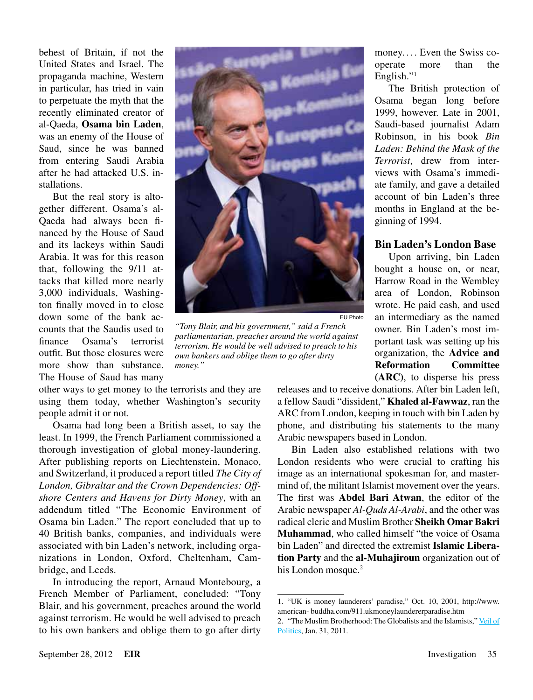behest of Britain, if not the United States and Israel. The propaganda machine, Western in particular, has tried in vain to perpetuate the myth that the recently eliminated creator of al-Qaeda, **Osama bin Laden**, was an enemy of the House of Saud, since he was banned from entering Saudi Arabia after he had attacked U.S. installations.

But the real story is altogether different. Osama's al-Qaeda had always been financed by the House of Saud and its lackeys within Saudi Arabia. It was for this reason that, following the 9/11 attacks that killed more nearly 3,000 individuals, Washington finally moved in to close down some of the bank accounts that the Saudis used to finance Osama's terrorist outfit. But those closures were more show than substance. The House of Saud has many

other ways to get money to the terrorists and they are using them today, whether Washington's security people admit it or not.

Osama had long been a British asset, to say the least. In 1999, the French Parliament commissioned a thorough investigation of global money-laundering. After publishing reports on Liechtenstein, Monaco, and Switzerland, it produced a report titled *The City of London, Gibraltar and the Crown Dependencies: Offshore Centers and Havens for Dirty Money*, with an addendum titled "The Economic Environment of Osama bin Laden." The report concluded that up to 40 British banks, companies, and individuals were associated with bin Laden's network, including organizations in London, Oxford, Cheltenham, Cambridge, and Leeds.

In introducing the report, Arnaud Montebourg, a French Member of Parliament, concluded: "Tony Blair, and his government, preaches around the world against terrorism. He would be well advised to preach to his own bankers and oblige them to go after dirty



*"Tony Blair, and his government," said a French parliamentarian, preaches around the world against terrorism. He would be well advised to preach to his own bankers and oblige them to go after dirty money."*

money.... Even the Swiss cooperate more than the English."<sup>1</sup>

The British protection of Osama began long before 1999, however. Late in 2001, Saudi-based journalist Adam Robinson, in his book *Bin Laden: Behind the Mask of the Terrorist*, drew from interviews with Osama's immediate family, and gave a detailed account of bin Laden's three months in England at the beginning of 1994.

#### **Bin Laden's London Base**

Upon arriving, bin Laden bought a house on, or near, Harrow Road in the Wembley area of London, Robinson wrote. He paid cash, and used an intermediary as the named owner. Bin Laden's most important task was setting up his organization, the **Advice and Reformation Committee (ARC)**, to disperse his press

releases and to receive donations. After bin Laden left, a fellow Saudi "dissident," **Khaled al-Fawwaz**, ran the ARC from London, keeping in touch with bin Laden by phone, and distributing his statements to the many Arabic newspapers based in London.

Bin Laden also established relations with two London residents who were crucial to crafting his image as an international spokesman for, and mastermind of, the militant Islamist movement over the years. The first was **Abdel Bari Atwan**, the editor of the Arabic newspaper *Al-Quds Al-Arabi*, and the other was radical cleric and Muslim Brother **Sheikh Omar Bakri Muhammad**, who called himself "the voice of Osama bin Laden" and directed the extremist **Islamic Liberation Party** and the **al-Muhajiroun** organization out of his London mosque.<sup>2</sup>

<sup>1.</sup> "UK is money launderers' paradise," Oct. 10, 2001, http://www. american- buddha.com/911.ukmoneylaundererparadise.htm

<sup>2.</sup> "The Muslim Brotherhood: The Globalists and the Islamists," [Veil of](http://politicalvelcraft.org/2011/01/31/the-treason-of-obama-fomenting-the-hatred-between-islam-the-united-states-the-muslim-brotherhood-the-globalists-secret-weapon)  [Politics,](http://politicalvelcraft.org/2011/01/31/the-treason-of-obama-fomenting-the-hatred-between-islam-the-united-states-the-muslim-brotherhood-the-globalists-secret-weapon) Jan. 31, 2011.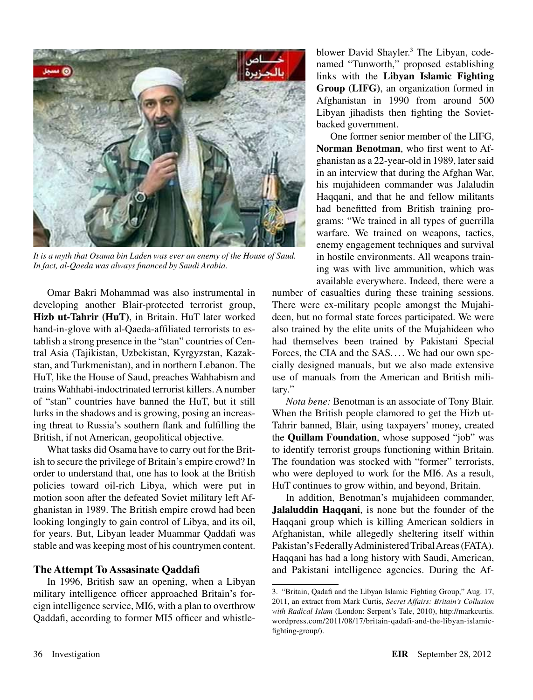

*It is a myth that Osama bin Laden was ever an enemy of the House of Saud. In fact, al-Qaeda was always financed by Saudi Arabia.*

Omar Bakri Mohammad was also instrumental in developing another Blair-protected terrorist group, **Hizb ut-Tahrir (HuT)**, in Britain. HuT later worked hand-in-glove with al-Qaeda-affiliated terrorists to establish a strong presence in the "stan" countries of Central Asia (Tajikistan, Uzbekistan, Kyrgyzstan, Kazakstan, and Turkmenistan), and in northern Lebanon. The HuT, like the House of Saud, preaches Wahhabism and trains Wahhabi-indoctrinated terrorist killers. A number of "stan" countries have banned the HuT, but it still lurks in the shadows and is growing, posing an increasing threat to Russia's southern flank and fulfilling the British, if not American, geopolitical objective.

What tasks did Osama have to carry out for the British to secure the privilege of Britain's empire crowd? In order to understand that, one has to look at the British policies toward oil-rich Libya, which were put in motion soon after the defeated Soviet military left Afghanistan in 1989. The British empire crowd had been looking longingly to gain control of Libya, and its oil, for years. But, Libyan leader Muammar Qaddafi was stable and was keeping most of his countrymen content.

#### **The Attempt To Assasinate Qaddafi**

In 1996, British saw an opening, when a Libyan military intelligence officer approached Britain's foreign intelligence service, MI6, with a plan to overthrow Qaddafi, according to former MI5 officer and whistleblower David Shayler.<sup>3</sup> The Libyan, codenamed "Tunworth," proposed establishing links with the **Libyan Islamic Fighting Group (LIFG)**, an organization formed in Afghanistan in 1990 from around 500 Libyan jihadists then fighting the Sovietbacked government.

One former senior member of the LIFG, **Norman Benotman**, who first went to Afghanistan as a 22-year-old in 1989, later said in an interview that during the Afghan War, his mujahideen commander was Jalaludin Haqqani, and that he and fellow militants had benefitted from British training programs: "We trained in all types of guerrilla warfare. We trained on weapons, tactics, enemy engagement techniques and survival in hostile environments. All weapons training was with live ammunition, which was available everywhere. Indeed, there were a

number of casualties during these training sessions. There were ex-military people amongst the Mujahideen, but no formal state forces participated. We were also trained by the elite units of the Mujahideen who had themselves been trained by Pakistani Special Forces, the CIA and the SAS. ... We had our own specially designed manuals, but we also made extensive use of manuals from the American and British military."

*Nota bene:* Benotman is an associate of Tony Blair. When the British people clamored to get the Hizb ut-Tahrir banned, Blair, using taxpayers' money, created the **Quillam Foundation**, whose supposed "job" was to identify terrorist groups functioning within Britain. The foundation was stocked with "former" terrorists, who were deployed to work for the MI6. As a result, HuT continues to grow within, and beyond, Britain.

In addition, Benotman's mujahideen commander, **Jalaluddin Haqqani**, is none but the founder of the Haqqani group which is killing American soldiers in Afghanistan, while allegedly sheltering itself within Pakistan's Federally Administered Tribal Areas (FATA). Haqqani has had a long history with Saudi, American, and Pakistani intelligence agencies. During the Af-

<sup>3.</sup> "Britain, Qadafi and the Libyan Islamic Fighting Group," Aug. 17, 2011, an extract from Mark Curtis, *Secret Affairs: Britain's Collusion with Radical Islam* (London: Serpent's Tale, 2010), http://markcurtis. wordpress.com/2011/08/17/britain-qadafi-and-the-libyan-islamicfighting-group/).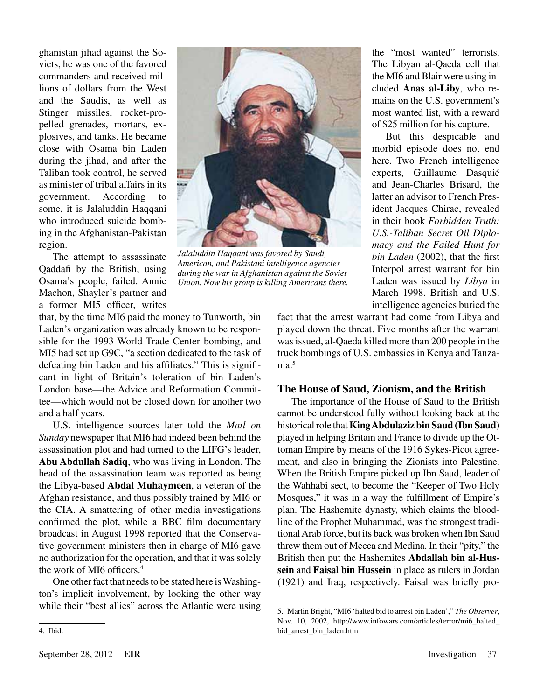ghanistan jihad against the Soviets, he was one of the favored commanders and received millions of dollars from the West and the Saudis, as well as Stinger missiles, rocket-propelled grenades, mortars, explosives, and tanks. He became close with Osama bin Laden during the jihad, and after the Taliban took control, he served as minister of tribal affairs in its government. According to some, it is Jalaluddin Haqqani who introduced suicide bombing in the Afghanistan-Pakistan region.

The attempt to assassinate Qaddafi by the British, using Osama's people, failed. Annie Machon, Shayler's partner and a former MI5 officer, writes

that, by the time MI6 paid the money to Tunworth, bin Laden's organization was already known to be responsible for the 1993 World Trade Center bombing, and MI5 had set up G9C, "a section dedicated to the task of defeating bin Laden and his affiliates." This is significant in light of Britain's toleration of bin Laden's London base—the Advice and Reformation Committee—which would not be closed down for another two and a half years.

U.S. intelligence sources later told the *Mail on Sunday* newspaper that MI6 had indeed been behind the assassination plot and had turned to the LIFG's leader, **Abu Abdullah Sadiq**, who was living in London. The head of the assassination team was reported as being the Libya-based **Abdal Muhaymeen**, a veteran of the Afghan resistance, and thus possibly trained by MI6 or the CIA. A smattering of other media investigations confirmed the plot, while a BBC film documentary broadcast in August 1998 reported that the Conservative government ministers then in charge of MI6 gave no authorization for the operation, and that it was solely the work of MI6 officers<sup>4</sup>

One other fact that needs to be stated here is Washington's implicit involvement, by looking the other way while their "best allies" across the Atlantic were using



4. Ibid.



*Jalaluddin Haqqani was favored by Saudi, American, and Pakistani intelligence agencies during the war in Afghanistan against the Soviet Union. Now his group is killing Americans there.*

the "most wanted" terrorists. The Libyan al-Qaeda cell that the MI6 and Blair were using included **Anas al-Liby**, who remains on the U.S. government's most wanted list, with a reward of \$25 million for his capture.

But this despicable and morbid episode does not end here. Two French intelligence experts, Guillaume Dasquié and Jean-Charles Brisard, the latter an advisor to French President Jacques Chirac, revealed in their book *Forbidden Truth: U.S.-Taliban Secret Oil Diplomacy and the Failed Hunt for bin Laden* (2002), that the first Interpol arrest warrant for bin Laden was issued by *Libya* in March 1998. British and U.S. intelligence agencies buried the

fact that the arrest warrant had come from Libya and played down the threat. Five months after the warrant was issued, al-Qaeda killed more than 200 people in the truck bombings of U.S. embassies in Kenya and Tanzania.5

#### **The House of Saud, Zionism, and the British**

The importance of the House of Saud to the British cannot be understood fully without looking back at the historical role that **King Abdulaziz bin Saud (Ibn Saud)** played in helping Britain and France to divide up the Ottoman Empire by means of the 1916 Sykes-Picot agreement, and also in bringing the Zionists into Palestine. When the British Empire picked up Ibn Saud, leader of the Wahhabi sect, to become the "Keeper of Two Holy Mosques," it was in a way the fulfillment of Empire's plan. The Hashemite dynasty, which claims the bloodline of the Prophet Muhammad, was the strongest traditional Arab force, but its back was broken when Ibn Saud threw them out of Mecca and Medina. In their "pity," the British then put the Hashemites **Abdallah bin al-Hussein** and **Faisal bin Hussein** in place as rulers in Jordan (1921) and Iraq, respectively. Faisal was briefly pro-

<sup>5.</sup> Martin Bright, "MI6 'halted bid to arrest bin Laden'," *The Observer*, Nov. 10, 2002, http://www.infowars.com/articles/terror/mi6\_halted\_ bid\_arrest\_bin\_laden.htm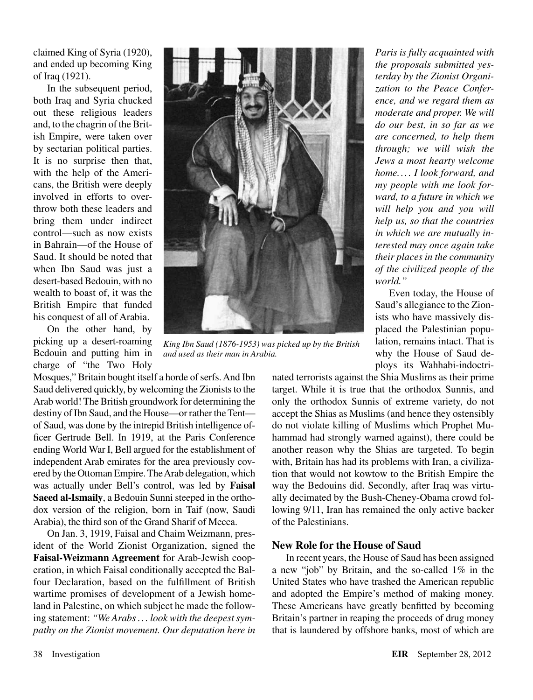claimed King of Syria (1920), and ended up becoming King of Iraq (1921).

In the subsequent period, both Iraq and Syria chucked out these religious leaders and, to the chagrin of the British Empire, were taken over by sectarian political parties. It is no surprise then that, with the help of the Americans, the British were deeply involved in efforts to overthrow both these leaders and bring them under indirect control—such as now exists in Bahrain—of the House of Saud. It should be noted that when Ibn Saud was just a desert-based Bedouin, with no wealth to boast of, it was the British Empire that funded his conquest of all of Arabia.

On the other hand, by picking up a desert-roaming Bedouin and putting him in charge of "the Two Holy

Mosques," Britain bought itself a horde of serfs. And Ibn Saud delivered quickly, by welcoming the Zionists to the Arab world! The British groundwork for determining the destiny of Ibn Saud, and the House—or rather the Tent of Saud, was done by the intrepid British intelligence officer Gertrude Bell. In 1919, at the Paris Conference ending World War I, Bell argued for the establishment of independent Arab emirates for the area previously covered by the Ottoman Empire. The Arab delegation, which was actually under Bell's control, was led by **Faisal Saeed al-Ismaily**, a Bedouin Sunni steeped in the orthodox version of the religion, born in Taif (now, Saudi Arabia), the third son of the Grand Sharif of Mecca.

On Jan. 3, 1919, Faisal and Chaim Weizmann, president of the World Zionist Organization, signed the **Faisal-Weizmann Agreement** for Arab-Jewish cooperation, in which Faisal conditionally accepted the Balfour Declaration, based on the fulfillment of British wartime promises of development of a Jewish homeland in Palestine, on which subject he made the following statement: *"We Arabs . . . look with the deepest sympathy on the Zionist movement. Our deputation here in* 



*King Ibn Saud (1876-1953) was picked up by the British and used as their man in Arabia.*

*Paris is fully acquainted with the proposals submitted yesterday by the Zionist Organization to the Peace Conference, and we regard them as moderate and proper. We will do our best, in so far as we are concerned, to help them through; we will wish the Jews a most hearty welcome home. ... I look forward, and my people with me look forward, to a future in which we will help you and you will help us, so that the countries in which we are mutually interested may once again take their places in the community of the civilized people of the world."*

Even today, the House of Saud's allegiance to the Zionists who have massively displaced the Palestinian population, remains intact. That is why the House of Saud deploys its Wahhabi-indoctri-

nated terrorists against the Shia Muslims as their prime target. While it is true that the orthodox Sunnis, and only the orthodox Sunnis of extreme variety, do not accept the Shias as Muslims (and hence they ostensibly do not violate killing of Muslims which Prophet Muhammad had strongly warned against), there could be another reason why the Shias are targeted. To begin with, Britain has had its problems with Iran, a civilization that would not kowtow to the British Empire the way the Bedouins did. Secondly, after Iraq was virtually decimated by the Bush-Cheney-Obama crowd following 9/11, Iran has remained the only active backer of the Palestinians.

#### **New Role for the House of Saud**

In recent years, the House of Saud has been assigned a new "job" by Britain, and the so-called 1% in the United States who have trashed the American republic and adopted the Empire's method of making money. These Americans have greatly benfitted by becoming Britain's partner in reaping the proceeds of drug money that is laundered by offshore banks, most of which are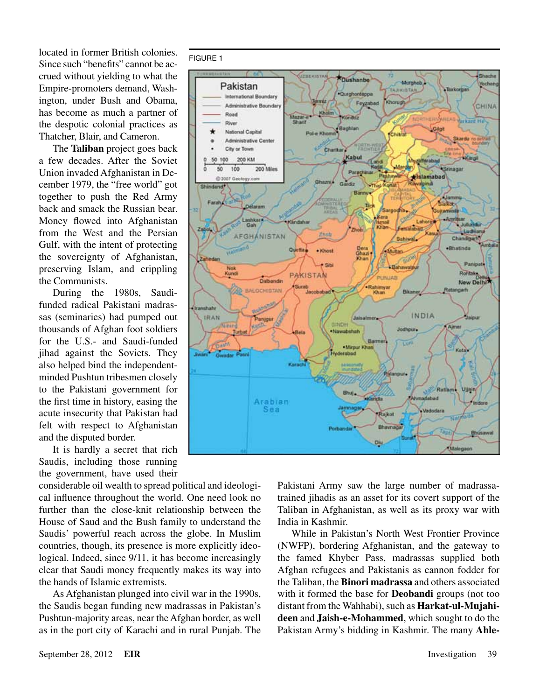located in former British colonies. Since such "benefits" cannot be accrued without yielding to what the Empire-promoters demand, Washington, under Bush and Obama, has become as much a partner of the despotic colonial practices as Thatcher, Blair, and Cameron.

The **Taliban** project goes back a few decades. After the Soviet Union invaded Afghanistan in December 1979, the "free world" got together to push the Red Army back and smack the Russian bear. Money flowed into Afghanistan from the West and the Persian Gulf, with the intent of protecting the sovereignty of Afghanistan, preserving Islam, and crippling the Communists.

During the 1980s, Saudifunded radical Pakistani madrassas (seminaries) had pumped out thousands of Afghan foot soldiers for the U.S.- and Saudi-funded jihad against the Soviets. They also helped bind the independentminded Pushtun tribesmen closely to the Pakistani government for the first time in history, easing the acute insecurity that Pakistan had felt with respect to Afghanistan and the disputed border.

It is hardly a secret that rich Saudis, including those running the government, have used their

considerable oil wealth to spread political and ideological influence throughout the world. One need look no further than the close-knit relationship between the House of Saud and the Bush family to understand the Saudis' powerful reach across the globe. In Muslim countries, though, its presence is more explicitly ideological. Indeed, since 9/11, it has become increasingly clear that Saudi money frequently makes its way into the hands of Islamic extremists.

As Afghanistan plunged into civil war in the 1990s, the Saudis began funding new madrassas in Pakistan's Pushtun-majority areas, near the Afghan border, as well as in the port city of Karachi and in rural Punjab. The



Pakistani Army saw the large number of madrassatrained jihadis as an asset for its covert support of the Taliban in Afghanistan, as well as its proxy war with India in Kashmir.

While in Pakistan's North West Frontier Province (NWFP), bordering Afghanistan, and the gateway to the famed Khyber Pass, madrassas supplied both Afghan refugees and Pakistanis as cannon fodder for the Taliban, the **Binori madrassa** and others associated with it formed the base for **Deobandi** groups (not too distant from the Wahhabi), such as **Harkat-ul-Mujahideen** and **Jaish-e-Mohammed**, which sought to do the Pakistan Army's bidding in Kashmir. The many **Ahle-**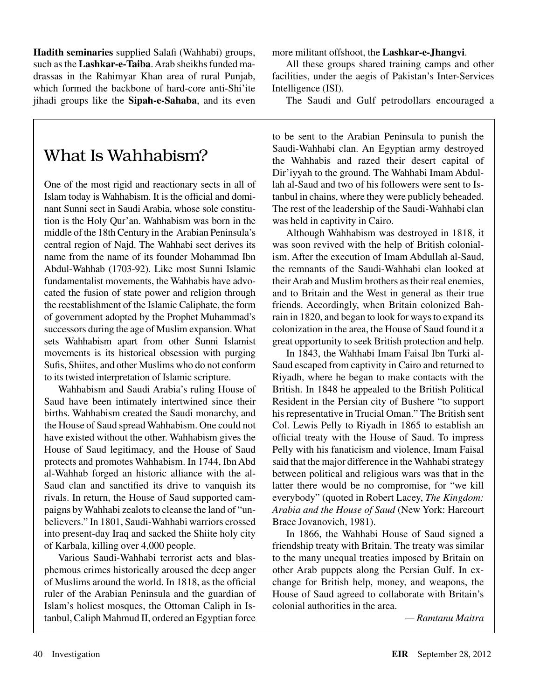**Hadith seminaries** supplied Salafi (Wahhabi) groups, such as the **Lashkar-e-Taiba**. Arab sheikhs funded madrassas in the Rahimyar Khan area of rural Punjab, which formed the backbone of hard-core anti-Shi'ite jihadi groups like the **Sipah-e-Sahaba**, and its even

## What Is Wahhabism?

One of the most rigid and reactionary sects in all of Islam today is Wahhabism. It is the official and dominant Sunni sect in Saudi Arabia, whose sole constitution is the Holy Qur'an. Wahhabism was born in the middle of the 18th Century in the Arabian Peninsula's central region of Najd. The Wahhabi sect derives its name from the name of its founder Mohammad Ibn Abdul-Wahhab (1703-92). Like most Sunni Islamic fundamentalist movements, the Wahhabis have advocated the fusion of state power and religion through the reestablishment of the Islamic Caliphate, the form of government adopted by the Prophet Muhammad's successors during the age of Muslim expansion. What sets Wahhabism apart from other Sunni Islamist movements is its historical obsession with purging Sufis, Shiites, and other Muslims who do not conform to its twisted interpretation of Islamic scripture.

Wahhabism and Saudi Arabia's ruling House of Saud have been intimately intertwined since their births. Wahhabism created the Saudi monarchy, and the House of Saud spread Wahhabism. One could not have existed without the other. Wahhabism gives the House of Saud legitimacy, and the House of Saud protects and promotes Wahhabism. In 1744, Ibn Abd al-Wahhab forged an historic alliance with the al-Saud clan and sanctified its drive to vanquish its rivals. In return, the House of Saud supported campaigns by Wahhabi zealots to cleanse the land of "unbelievers." In 1801, Saudi-Wahhabi warriors crossed into present-day Iraq and sacked the Shiite holy city of Karbala, killing over 4,000 people.

Various Saudi-Wahhabi terrorist acts and blasphemous crimes historically aroused the deep anger of Muslims around the world. In 1818, as the official ruler of the Arabian Peninsula and the guardian of Islam's holiest mosques, the Ottoman Caliph in Istanbul, Caliph Mahmud II, ordered an Egyptian force

more militant offshoot, the **Lashkar-e-Jhangvi**.

All these groups shared training camps and other facilities, under the aegis of Pakistan's Inter-Services Intelligence (ISI).

The Saudi and Gulf petrodollars encouraged a

to be sent to the Arabian Peninsula to punish the Saudi-Wahhabi clan. An Egyptian army destroyed the Wahhabis and razed their desert capital of Dir'iyyah to the ground. The Wahhabi Imam Abdullah al-Saud and two of his followers were sent to Istanbul in chains, where they were publicly beheaded. The rest of the leadership of the Saudi-Wahhabi clan was held in captivity in Cairo.

Although Wahhabism was destroyed in 1818, it was soon revived with the help of British colonialism. After the execution of Imam Abdullah al-Saud, the remnants of the Saudi-Wahhabi clan looked at their Arab and Muslim brothers as their real enemies, and to Britain and the West in general as their true friends. Accordingly, when Britain colonized Bahrain in 1820, and began to look for ways to expand its colonization in the area, the House of Saud found it a great opportunity to seek British protection and help.

In 1843, the Wahhabi Imam Faisal Ibn Turki al-Saud escaped from captivity in Cairo and returned to Riyadh, where he began to make contacts with the British. In 1848 he appealed to the British Political Resident in the Persian city of Bushere "to support his representative in Trucial Oman." The British sent Col. Lewis Pelly to Riyadh in 1865 to establish an official treaty with the House of Saud. To impress Pelly with his fanaticism and violence, Imam Faisal said that the major difference in the Wahhabi strategy between political and religious wars was that in the latter there would be no compromise, for "we kill everybody" (quoted in Robert Lacey, *The Kingdom: Arabia and the House of Saud* (New York: Harcourt Brace Jovanovich, 1981).

In 1866, the Wahhabi House of Saud signed a friendship treaty with Britain. The treaty was similar to the many unequal treaties imposed by Britain on other Arab puppets along the Persian Gulf. In exchange for British help, money, and weapons, the House of Saud agreed to collaborate with Britain's colonial authorities in the area.

*— Ramtanu Maitra*